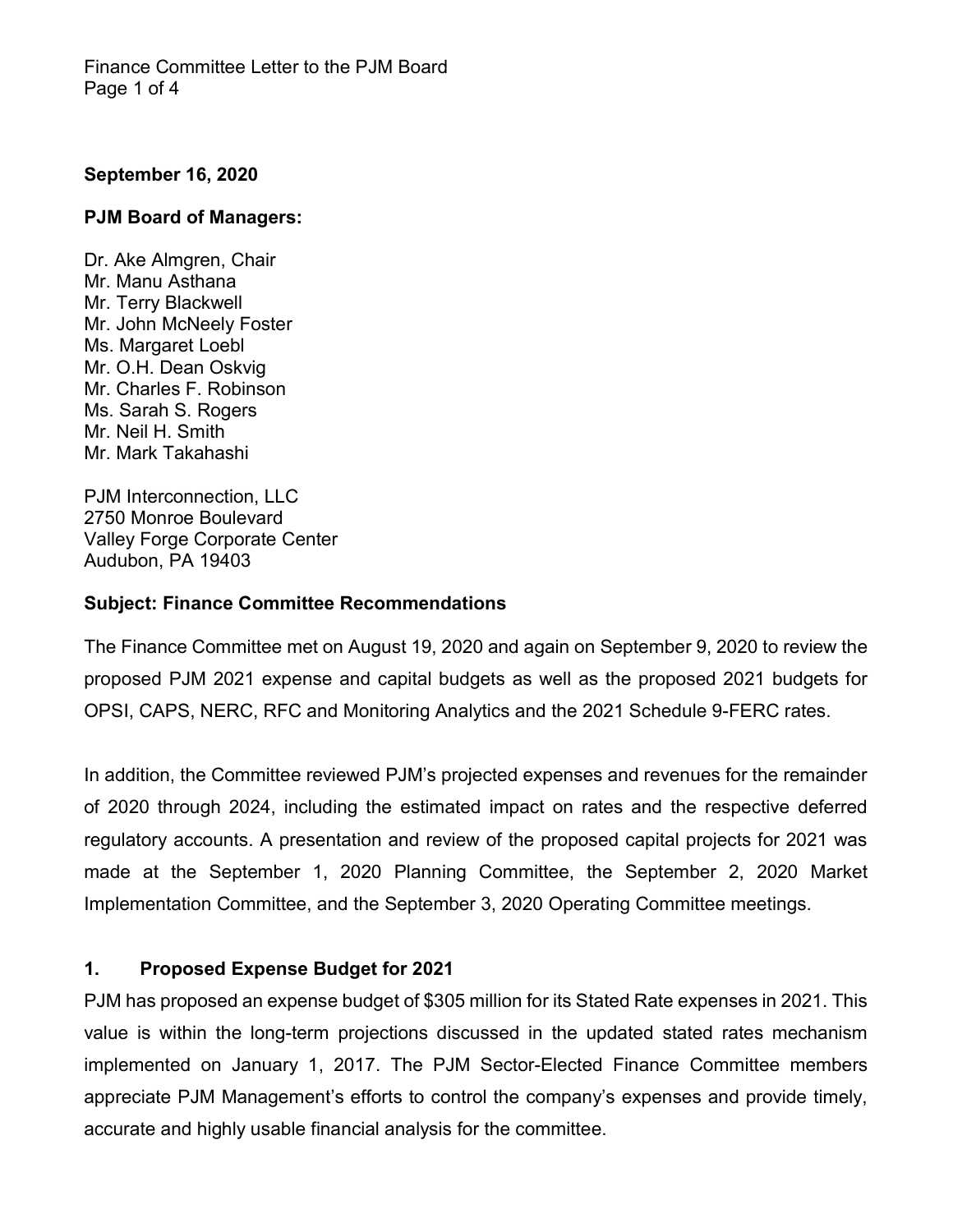#### **September 16, 2020**

#### **PJM Board of Managers:**

Dr. Ake Almgren, Chair Mr. Manu Asthana Mr. Terry Blackwell Mr. John McNeely Foster Ms. Margaret Loebl Mr. O.H. Dean Oskvig Mr. Charles F. Robinson Ms. Sarah S. Rogers Mr. Neil H. Smith Mr. Mark Takahashi

PJM Interconnection, LLC 2750 Monroe Boulevard Valley Forge Corporate Center Audubon, PA 19403

#### **Subject: Finance Committee Recommendations**

The Finance Committee met on August 19, 2020 and again on September 9, 2020 to review the proposed PJM 2021 expense and capital budgets as well as the proposed 2021 budgets for OPSI, CAPS, NERC, RFC and Monitoring Analytics and the 2021 Schedule 9-FERC rates.

In addition, the Committee reviewed PJM's projected expenses and revenues for the remainder of 2020 through 2024, including the estimated impact on rates and the respective deferred regulatory accounts. A presentation and review of the proposed capital projects for 2021 was made at the September 1, 2020 Planning Committee, the September 2, 2020 Market Implementation Committee, and the September 3, 2020 Operating Committee meetings.

### **1. Proposed Expense Budget for 2021**

PJM has proposed an expense budget of \$305 million for its Stated Rate expenses in 2021. This value is within the long-term projections discussed in the updated stated rates mechanism implemented on January 1, 2017. The PJM Sector-Elected Finance Committee members appreciate PJM Management's efforts to control the company's expenses and provide timely, accurate and highly usable financial analysis for the committee.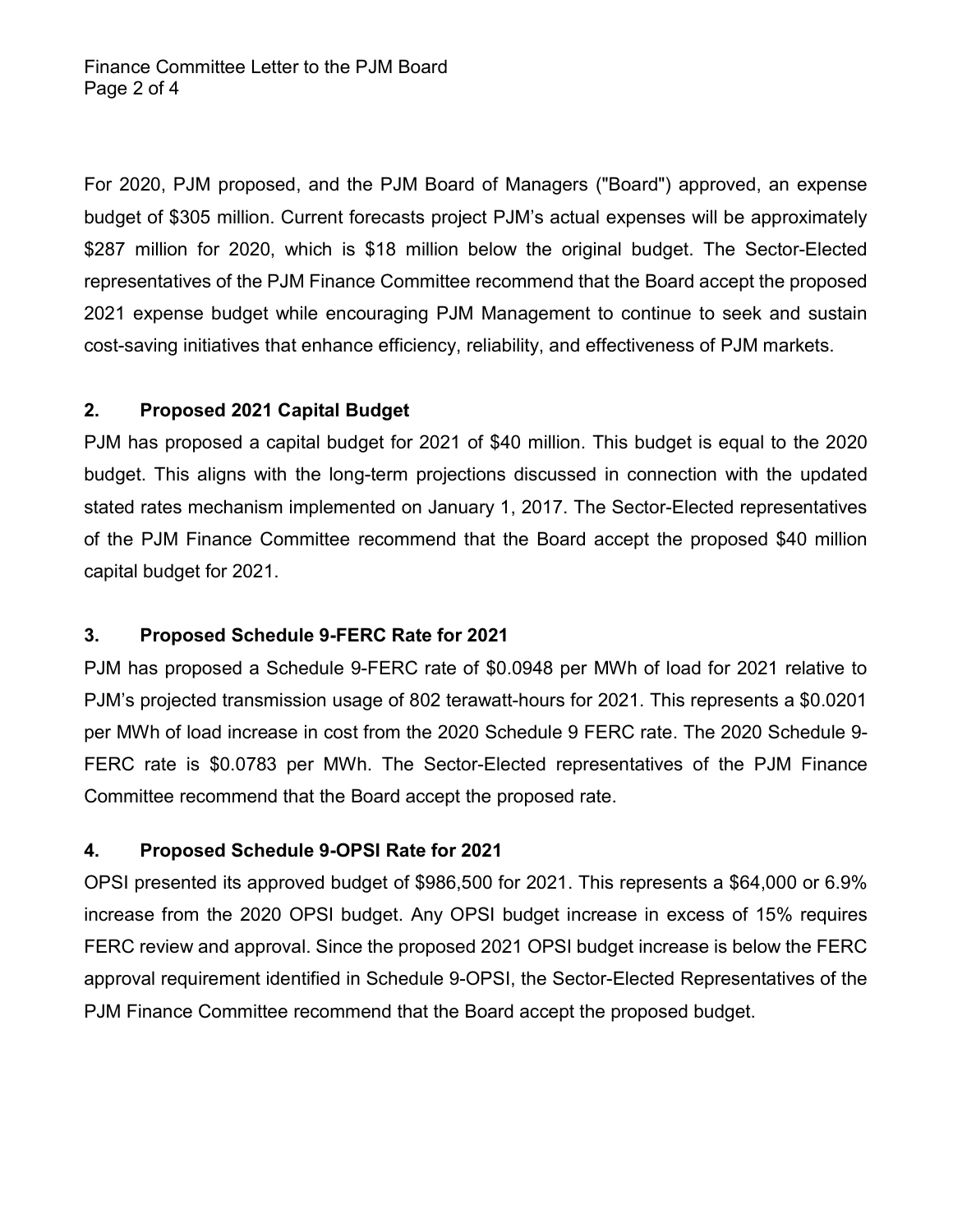For 2020, PJM proposed, and the PJM Board of Managers ("Board") approved, an expense budget of \$305 million. Current forecasts project PJM's actual expenses will be approximately \$287 million for 2020, which is \$18 million below the original budget. The Sector-Elected representatives of the PJM Finance Committee recommend that the Board accept the proposed 2021 expense budget while encouraging PJM Management to continue to seek and sustain cost-saving initiatives that enhance efficiency, reliability, and effectiveness of PJM markets.

# **2. Proposed 2021 Capital Budget**

PJM has proposed a capital budget for 2021 of \$40 million. This budget is equal to the 2020 budget. This aligns with the long-term projections discussed in connection with the updated stated rates mechanism implemented on January 1, 2017. The Sector-Elected representatives of the PJM Finance Committee recommend that the Board accept the proposed \$40 million capital budget for 2021.

# **3. Proposed Schedule 9-FERC Rate for 2021**

PJM has proposed a Schedule 9-FERC rate of \$0.0948 per MWh of load for 2021 relative to PJM's projected transmission usage of 802 terawatt-hours for 2021. This represents a \$0.0201 per MWh of load increase in cost from the 2020 Schedule 9 FERC rate. The 2020 Schedule 9- FERC rate is \$0.0783 per MWh. The Sector-Elected representatives of the PJM Finance Committee recommend that the Board accept the proposed rate.

# **4. Proposed Schedule 9-OPSI Rate for 2021**

OPSI presented its approved budget of \$986,500 for 2021. This represents a \$64,000 or 6.9% increase from the 2020 OPSI budget. Any OPSI budget increase in excess of 15% requires FERC review and approval. Since the proposed 2021 OPSI budget increase is below the FERC approval requirement identified in Schedule 9-OPSI, the Sector-Elected Representatives of the PJM Finance Committee recommend that the Board accept the proposed budget.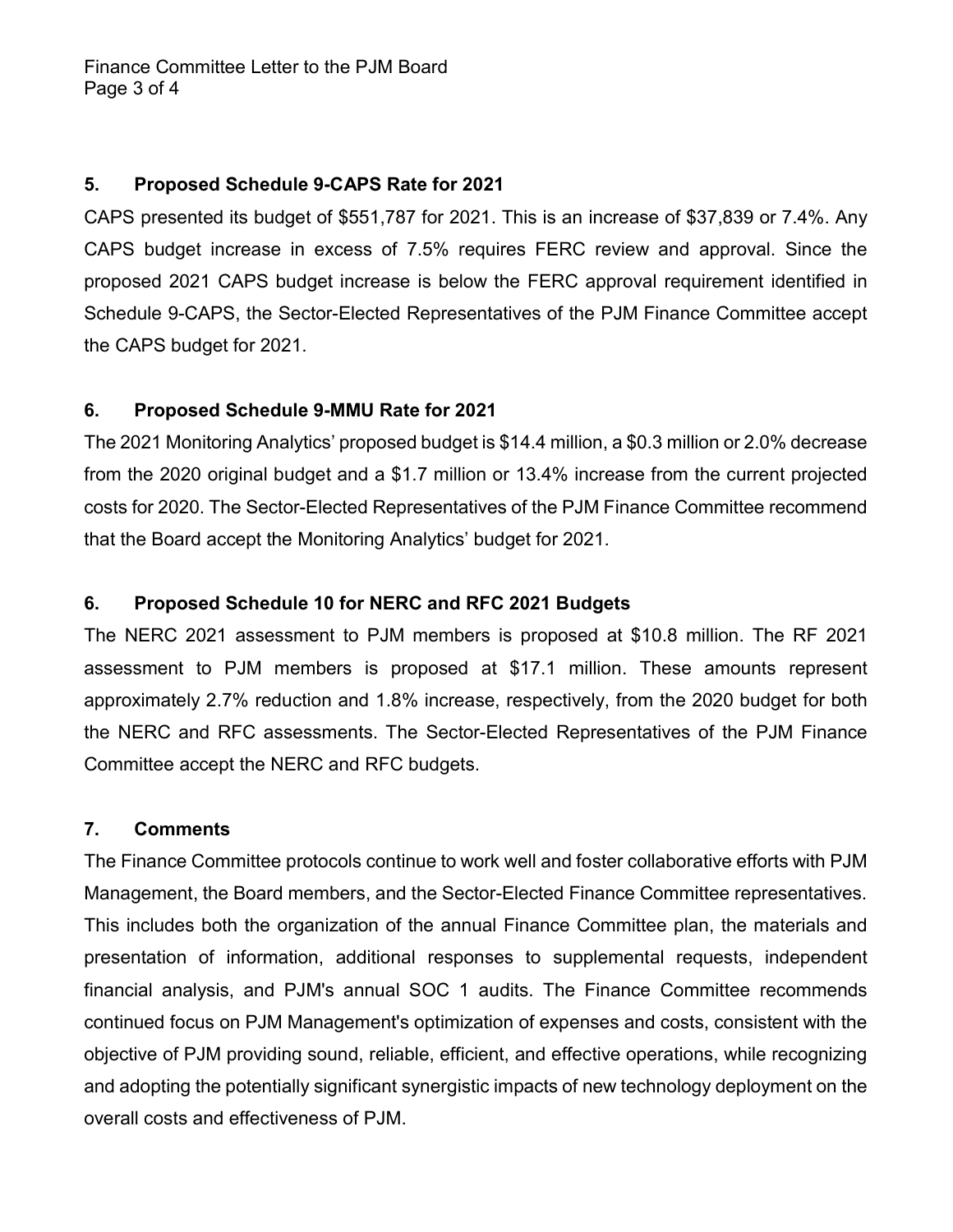### **5. Proposed Schedule 9-CAPS Rate for 2021**

CAPS presented its budget of \$551,787 for 2021. This is an increase of \$37,839 or 7.4%. Any CAPS budget increase in excess of 7.5% requires FERC review and approval. Since the proposed 2021 CAPS budget increase is below the FERC approval requirement identified in Schedule 9-CAPS, the Sector-Elected Representatives of the PJM Finance Committee accept the CAPS budget for 2021.

### **6. Proposed Schedule 9-MMU Rate for 2021**

The 2021 Monitoring Analytics' proposed budget is \$14.4 million, a \$0.3 million or 2.0% decrease from the 2020 original budget and a \$1.7 million or 13.4% increase from the current projected costs for 2020. The Sector-Elected Representatives of the PJM Finance Committee recommend that the Board accept the Monitoring Analytics' budget for 2021.

# **6. Proposed Schedule 10 for NERC and RFC 2021 Budgets**

The NERC 2021 assessment to PJM members is proposed at \$10.8 million. The RF 2021 assessment to PJM members is proposed at \$17.1 million. These amounts represent approximately 2.7% reduction and 1.8% increase, respectively, from the 2020 budget for both the NERC and RFC assessments. The Sector-Elected Representatives of the PJM Finance Committee accept the NERC and RFC budgets.

### **7. Comments**

The Finance Committee protocols continue to work well and foster collaborative efforts with PJM Management, the Board members, and the Sector-Elected Finance Committee representatives. This includes both the organization of the annual Finance Committee plan, the materials and presentation of information, additional responses to supplemental requests, independent financial analysis, and PJM's annual SOC 1 audits. The Finance Committee recommends continued focus on PJM Management's optimization of expenses and costs, consistent with the objective of PJM providing sound, reliable, efficient, and effective operations, while recognizing and adopting the potentially significant synergistic impacts of new technology deployment on the overall costs and effectiveness of PJM.